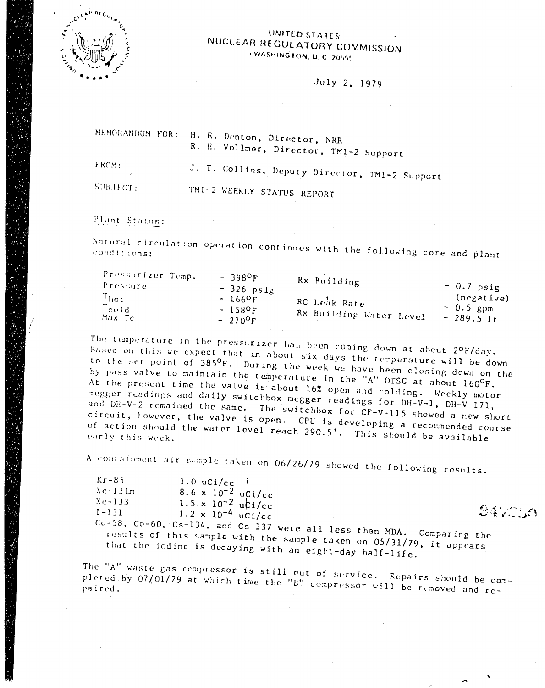

## UNITED STATES NUCLEAR REGULATORY COMMISSION WASHINGTON, D. C. 20555

July 2, 1979

MEMORANDUM FOR: H. R. Denton, Director, NRR R. H. Vollmer, Director, TMI-2 Support FROM: J. T. Collins, Deputy Director, TMI-2 Support

SUBJECT:

TM1-2 WEEKLY STATUS REPORT

Plant Status:

Natural circulation operation continues with the following core and plant

| Pressurizer Temp.<br>Pressure<br>$T_{\rm hot}$<br>$T_{\rm cold}$<br>-Max Tc | $-398$ <sup>O</sup> F<br>$-326$ psig<br>$-1669F$<br>$-1580F$<br>$-270$ <sup>O</sup> F | Rx Building<br>RC Leak Rate<br>Rx Building Water Level | $-0.7$ psig<br>(negative)<br>$-0.5$ gpm<br>$-289.5 \text{ ft}$ |
|-----------------------------------------------------------------------------|---------------------------------------------------------------------------------------|--------------------------------------------------------|----------------------------------------------------------------|
|                                                                             |                                                                                       |                                                        |                                                                |

The temperature in the pressurizer has been coming down at about 2ºF/day. Based on this we expect that in about six days the temperature will be down to the set point of 385°F. During the week we have been closing down on the by-pass valve to maintain the temperature in the "A" OTSG at about 160°F. At the present time the valve is about 16% open and holding. Weekly motor megger readings and daily switchbox megger readings for DH-V-1, DH-V-171, and DH-V-2 remained the same. The switchbox for CF-V-115 showed a new short circuit, however, the valve is open. GPU is developing a recommended course of action should the water level reach 290.5'. This should be available

A containment air sample taken on 06/26/79 showed the following results.

| $Kr-85$                                                             | $1.0 \text{ uCi/cc}$        |  |  |               |                |
|---------------------------------------------------------------------|-----------------------------|--|--|---------------|----------------|
| $Xe-131m$                                                           | $8.6 \times 10^{-2}$ uCi/cc |  |  |               |                |
| $Xe-133$                                                            | $1.5 \times 10^{-2}$ uti/cc |  |  |               |                |
| $I - 131$                                                           | $1.2 \times 10^{-4}$ uCi/cc |  |  |               | $\mathbb{C}$ . |
| $Co-58$ , $Co-60$ , $Cs-134$ , and $Cs-137$ were all less than MDA. |                             |  |  |               |                |
|                                                                     |                             |  |  | Comparing the |                |

results of this sample with the sample taken on 05/31/79, it appears that the iodine is decaying with an eight-day half-life.

The "A" waste gas compressor is still out of service. Repairs should be completed by 07/01/79 at which time the "B" compressor will be removed and re-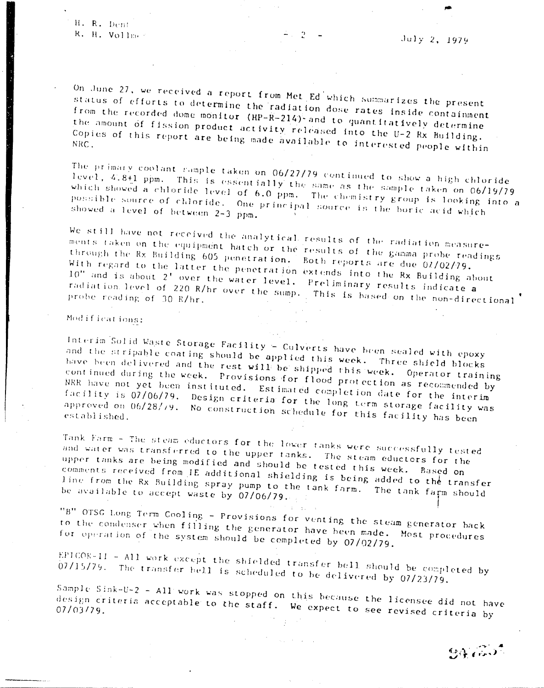H. R. Dent R. H. Vollmes

On June 27, we received a report from Met Ed which summarizes the present status of efforts to determine the radiation dose rates inside containment from the recorded dome monitor (HP-R-214) and to quantitatively determine the amount of fission product activity released into the U-2 Rx Building. Copies of this report are being made available to interested people within

The primary coolant sample taken on 06/27/79 continued to show a high chloride level, 4.8+1 ppm. This is essentially the same as the sample taken on 06/19/79 which showed a chloride level of 6.0 ppm. The chemistry group is looking into a possible source of chloride. One principal source is the boric acid which showed a level of between 2-3 ppm.

We still have not received the analytical results of the radiation measurements taken on the equipment hatch or the results of the gamma probe readings through the Rx Building 605 penetration. Both reports are due 02/02/79. With regard to the latter the penetration extends into the Rx Building about 10" and is about 2' over the water level. Preliminary results indicate a radiation level of 220 R/hr over the sump. This is hased on the non-directional probe reading of 30 R/hr.

## Modifications:

Interim Solid Waste Storage Facility - Culverts have been sealed with epoxy and the stripable coating should be applied this week. Three shield blocks have been delivered and the rest will be shipped this week. Operator training continued during the week. Provisions for flood protection as recommended by NRR have not yet been instituted. Estimated completion date for the interim facility is 07/06/79. Design criteria for the long term storage facility was approved on 06/28/79. No construction schedule for this facility has been

Tank Farm - The steam eductors for the lower tanks were successfully tested and water was transferred to the upper tanks. The steam eductors for the upper tanks are being modified and should be tested this week. Based on comments received from IE additional shielding is being added to the transfer line from the Rx Building spray pump to the tank farm. The tank farm should be available to accept waste by  $07/06/79...$ 

"B" OTSG Long Term Cooling - Provisions for venting the steam generator back to the condenser when filling the generator have been made. Most procedures for operation of the system should be completed by 07/02/79.

EPICOR-II - All work except the shielded transfer bell should be completed by 07/15/79. The transfer bell is scheduled to be delivered by 07/23/79.

Sample Sink-U-2 - All work was stopped on this because the licensee did not have design criteria acceptable to the staff. We expect to see revised criteria by